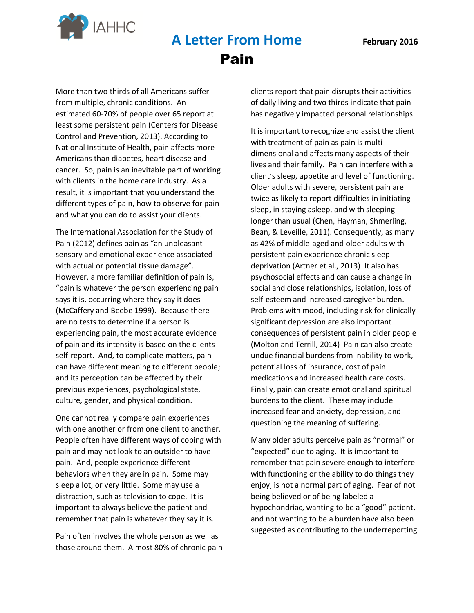

## **A Letter From Home February 2016**  Pain

More than two thirds of all Americans suffer from multiple, chronic conditions. An estimated 60-70% of people over 65 report at least some persistent pain (Centers for Disease Control and Prevention, 2013). According to National Institute of Health, pain affects more Americans than diabetes, heart disease and cancer. So, pain is an inevitable part of working with clients in the home care industry. As a result, it is important that you understand the different types of pain, how to observe for pain and what you can do to assist your clients.

The International Association for the Study of Pain (2012) defines pain as "an unpleasant sensory and emotional experience associated with actual or potential tissue damage". However, a more familiar definition of pain is, "pain is whatever the person experiencing pain says it is, occurring where they say it does (McCaffery and Beebe 1999). Because there are no tests to determine if a person is experiencing pain, the most accurate evidence of pain and its intensity is based on the clients self-report. And, to complicate matters, pain can have different meaning to different people; and its perception can be affected by their previous experiences, psychological state, culture, gender, and physical condition.

One cannot really compare pain experiences with one another or from one client to another. People often have different ways of coping with pain and may not look to an outsider to have pain. And, people experience different behaviors when they are in pain. Some may sleep a lot, or very little. Some may use a distraction, such as television to cope. It is important to always believe the patient and remember that pain is whatever they say it is.

Pain often involves the whole person as well as those around them. Almost 80% of chronic pain clients report that pain disrupts their activities of daily living and two thirds indicate that pain has negatively impacted personal relationships.

It is important to recognize and assist the client with treatment of pain as pain is multidimensional and affects many aspects of their lives and their family. Pain can interfere with a client's sleep, appetite and level of functioning. Older adults with severe, persistent pain are twice as likely to report difficulties in initiating sleep, in staying asleep, and with sleeping longer than usual (Chen, Hayman, Shmerling, Bean, & Leveille, 2011). Consequently, as many as 42% of middle-aged and older adults with persistent pain experience chronic sleep deprivation (Artner et al., 2013) It also has psychosocial effects and can cause a change in social and close relationships, isolation, loss of self-esteem and increased caregiver burden. Problems with mood, including risk for clinically significant depression are also important consequences of persistent pain in older people (Molton and Terrill, 2014) Pain can also create undue financial burdens from inability to work, potential loss of insurance, cost of pain medications and increased health care costs. Finally, pain can create emotional and spiritual burdens to the client. These may include increased fear and anxiety, depression, and questioning the meaning of suffering.

Many older adults perceive pain as "normal" or "expected" due to aging. It is important to remember that pain severe enough to interfere with functioning or the ability to do things they enjoy, is not a normal part of aging. Fear of not being believed or of being labeled a hypochondriac, wanting to be a "good" patient, and not wanting to be a burden have also been suggested as contributing to the underreporting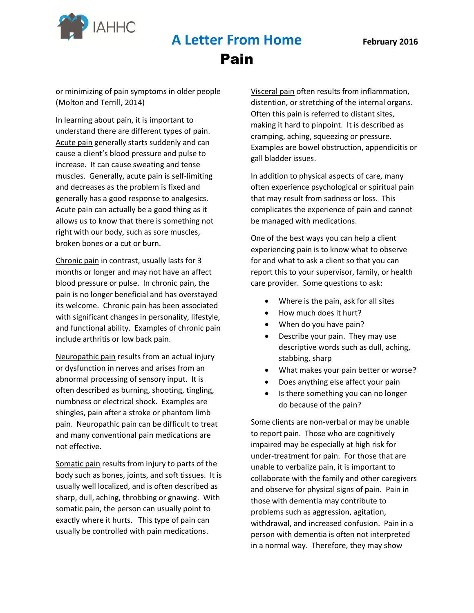

### **A Letter From Home February 2016**  Pain

or minimizing of pain symptoms in older people (Molton and Terrill, 2014)

In learning about pain, it is important to understand there are different types of pain. Acute pain generally starts suddenly and can cause a client's blood pressure and pulse to increase. It can cause sweating and tense muscles. Generally, acute pain is self-limiting and decreases as the problem is fixed and generally has a good response to analgesics. Acute pain can actually be a good thing as it allows us to know that there is something not right with our body, such as sore muscles, broken bones or a cut or burn.

Chronic pain in contrast, usually lasts for 3 months or longer and may not have an affect blood pressure or pulse. In chronic pain, the pain is no longer beneficial and has overstayed its welcome. Chronic pain has been associated with significant changes in personality, lifestyle, and functional ability. Examples of chronic pain include arthritis or low back pain.

Neuropathic pain results from an actual injury or dysfunction in nerves and arises from an abnormal processing of sensory input. It is often described as burning, shooting, tingling, numbness or electrical shock. Examples are shingles, pain after a stroke or phantom limb pain. Neuropathic pain can be difficult to treat and many conventional pain medications are not effective.

Somatic pain results from injury to parts of the body such as bones, joints, and soft tissues. It is usually well localized, and is often described as sharp, dull, aching, throbbing or gnawing. With somatic pain, the person can usually point to exactly where it hurts. This type of pain can usually be controlled with pain medications.

Visceral pain often results from inflammation, distention, or stretching of the internal organs. Often this pain is referred to distant sites, making it hard to pinpoint. It is described as cramping, aching, squeezing or pressure. Examples are bowel obstruction, appendicitis or gall bladder issues.

In addition to physical aspects of care, many often experience psychological or spiritual pain that may result from sadness or loss. This complicates the experience of pain and cannot be managed with medications.

One of the best ways you can help a client experiencing pain is to know what to observe for and what to ask a client so that you can report this to your supervisor, family, or health care provider. Some questions to ask:

- Where is the pain, ask for all sites
- How much does it hurt?
- When do you have pain?
- Describe your pain. They may use descriptive words such as dull, aching, stabbing, sharp
- What makes your pain better or worse?
- Does anything else affect your pain
- Is there something you can no longer do because of the pain?

Some clients are non-verbal or may be unable to report pain. Those who are cognitively impaired may be especially at high risk for under-treatment for pain. For those that are unable to verbalize pain, it is important to collaborate with the family and other caregivers and observe for physical signs of pain. Pain in those with dementia may contribute to problems such as aggression, agitation, withdrawal, and increased confusion. Pain in a person with dementia is often not interpreted in a normal way. Therefore, they may show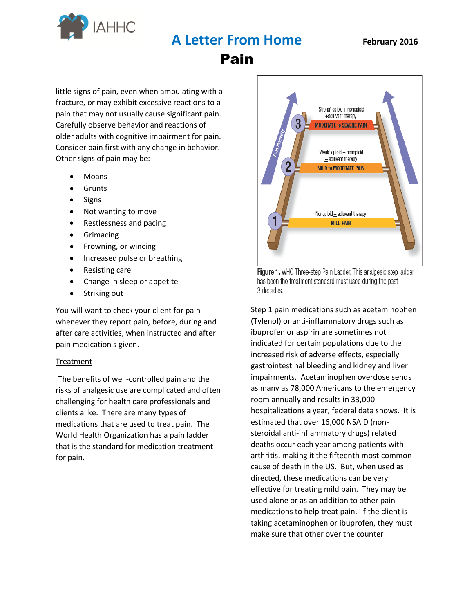

**A Letter From Home February 2016** 

Pain

little signs of pain, even when ambulating with a fracture, or may exhibit excessive reactions to a pain that may not usually cause significant pain. Carefully observe behavior and reactions of older adults with cognitive impairment for pain. Consider pain first with any change in behavior. Other signs of pain may be:

- Moans
- **Grunts**
- Signs
- Not wanting to move
- Restlessness and pacing
- **•** Grimacing
- Frowning, or wincing
- Increased pulse or breathing
- Resisting care
- Change in sleep or appetite
- Striking out

You will want to check your client for pain whenever they report pain, before, during and after care activities, when instructed and after pain medication s given.

#### Treatment

The benefits of well-controlled pain and the risks of analgesic use are complicated and often challenging for health care professionals and clients alike. There are many types of medications that are used to treat pain. The World Health Organization has a pain ladder that is the standard for medication treatment for pain.



Figure 1. WHO Three-step Pain Ladder. This analgesic step ladder has been the treatment standard most used during the past 3 decades.

Step 1 pain medications such as acetaminophen (Tylenol) or anti-inflammatory drugs such as ibuprofen or aspirin are sometimes not indicated for certain populations due to the increased risk of adverse effects, especially gastrointestinal bleeding and kidney and liver impairments. Acetaminophen overdose sends as many as 78,000 Americans to the emergency room annually and results in 33,000 hospitalizations a year, federal data shows. It is estimated that over 16,000 NSAID (nonsteroidal anti-inflammatory drugs) related deaths occur each year among patients with arthritis, making it the fifteenth most common cause of death in the US. But, when used as directed, these medications can be very effective for treating mild pain. They may be used alone or as an addition to other pain medications to help treat pain. If the client is taking acetaminophen or ibuprofen, they must make sure that other over the counter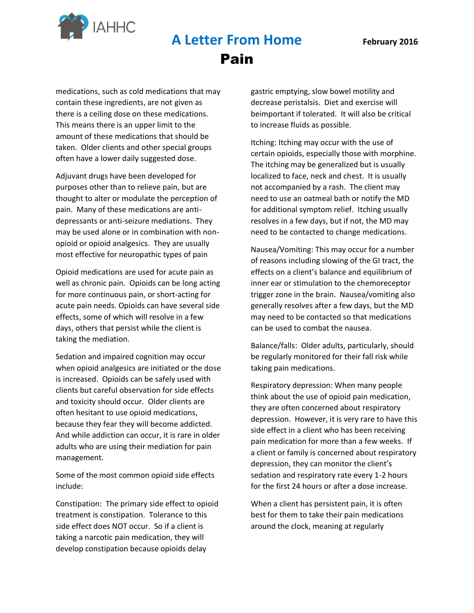

# **A Letter From Home February 2016**  Pain

medications, such as cold medications that may contain these ingredients, are not given as there is a ceiling dose on these medications. This means there is an upper limit to the amount of these medications that should be taken. Older clients and other special groups often have a lower daily suggested dose.

Adjuvant drugs have been developed for purposes other than to relieve pain, but are thought to alter or modulate the perception of pain. Many of these medications are antidepressants or anti-seizure mediations. They may be used alone or in combination with nonopioid or opioid analgesics. They are usually most effective for neuropathic types of pain

Opioid medications are used for acute pain as well as chronic pain. Opioids can be long acting for more continuous pain, or short-acting for acute pain needs. Opioids can have several side effects, some of which will resolve in a few days, others that persist while the client is taking the mediation.

Sedation and impaired cognition may occur when opioid analgesics are initiated or the dose is increased. Opioids can be safely used with clients but careful observation for side effects and toxicity should occur. Older clients are often hesitant to use opioid medications, because they fear they will become addicted. And while addiction can occur, it is rare in older adults who are using their mediation for pain management.

Some of the most common opioid side effects include:

Constipation: The primary side effect to opioid treatment is constipation. Tolerance to this side effect does NOT occur. So if a client is taking a narcotic pain medication, they will develop constipation because opioids delay

gastric emptying, slow bowel motility and decrease peristalsis. Diet and exercise will beimportant if tolerated. It will also be critical to increase fluids as possible.

Itching: Itching may occur with the use of certain opioids, especially those with morphine. The itching may be generalized but is usually localized to face, neck and chest. It is usually not accompanied by a rash. The client may need to use an oatmeal bath or notify the MD for additional symptom relief. Itching usually resolves in a few days, but if not, the MD may need to be contacted to change medications.

Nausea/Vomiting: This may occur for a number of reasons including slowing of the GI tract, the effects on a client's balance and equilibrium of inner ear or stimulation to the chemoreceptor trigger zone in the brain. Nausea/vomiting also generally resolves after a few days, but the MD may need to be contacted so that medications can be used to combat the nausea.

Balance/falls: Older adults, particularly, should be regularly monitored for their fall risk while taking pain medications.

Respiratory depression: When many people think about the use of opioid pain medication, they are often concerned about respiratory depression. However, it is very rare to have this side effect in a client who has been receiving pain medication for more than a few weeks. If a client or family is concerned about respiratory depression, they can monitor the client's sedation and respiratory rate every 1-2 hours for the first 24 hours or after a dose increase.

When a client has persistent pain, it is often best for them to take their pain medications around the clock, meaning at regularly